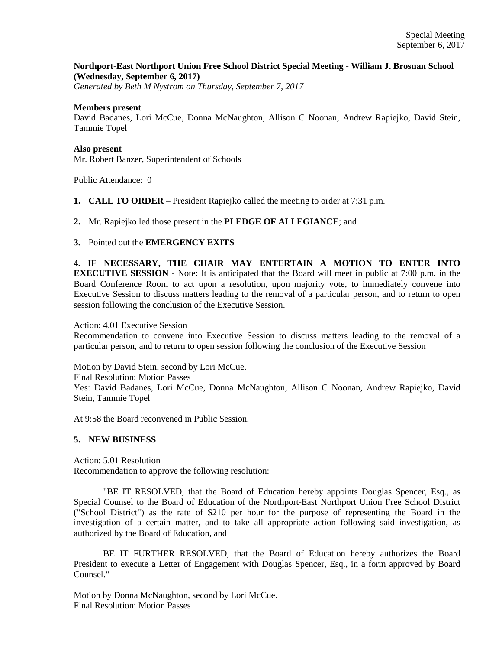# **Northport-East Northport Union Free School District Special Meeting - William J. Brosnan School (Wednesday, September 6, 2017)**

*Generated by Beth M Nystrom on Thursday, September 7, 2017*

## **Members present**

David Badanes, Lori McCue, Donna McNaughton, Allison C Noonan, Andrew Rapiejko, David Stein, Tammie Topel

# **Also present**

Mr. Robert Banzer, Superintendent of Schools

Public Attendance: 0

**1. CALL TO ORDER** – President Rapiejko called the meeting to order at 7:31 p.m.

**2.** Mr. Rapiejko led those present in the **PLEDGE OF ALLEGIANCE**; and

# **3.** Pointed out the **EMERGENCY EXITS**

**4. IF NECESSARY, THE CHAIR MAY ENTERTAIN A MOTION TO ENTER INTO EXECUTIVE SESSION** - Note: It is anticipated that the Board will meet in public at 7:00 p.m. in the Board Conference Room to act upon a resolution, upon majority vote, to immediately convene into Executive Session to discuss matters leading to the removal of a particular person, and to return to open session following the conclusion of the Executive Session.

## Action: 4.01 Executive Session

Recommendation to convene into Executive Session to discuss matters leading to the removal of a particular person, and to return to open session following the conclusion of the Executive Session

Motion by David Stein, second by Lori McCue.

Final Resolution: Motion Passes Yes: David Badanes, Lori McCue, Donna McNaughton, Allison C Noonan, Andrew Rapiejko, David Stein, Tammie Topel

At 9:58 the Board reconvened in Public Session.

## **5. NEW BUSINESS**

Action: 5.01 Resolution Recommendation to approve the following resolution:

"BE IT RESOLVED, that the Board of Education hereby appoints Douglas Spencer, Esq., as Special Counsel to the Board of Education of the Northport-East Northport Union Free School District ("School District") as the rate of \$210 per hour for the purpose of representing the Board in the investigation of a certain matter, and to take all appropriate action following said investigation, as authorized by the Board of Education, and

BE IT FURTHER RESOLVED, that the Board of Education hereby authorizes the Board President to execute a Letter of Engagement with Douglas Spencer, Esq., in a form approved by Board Counsel."

Motion by Donna McNaughton, second by Lori McCue. Final Resolution: Motion Passes